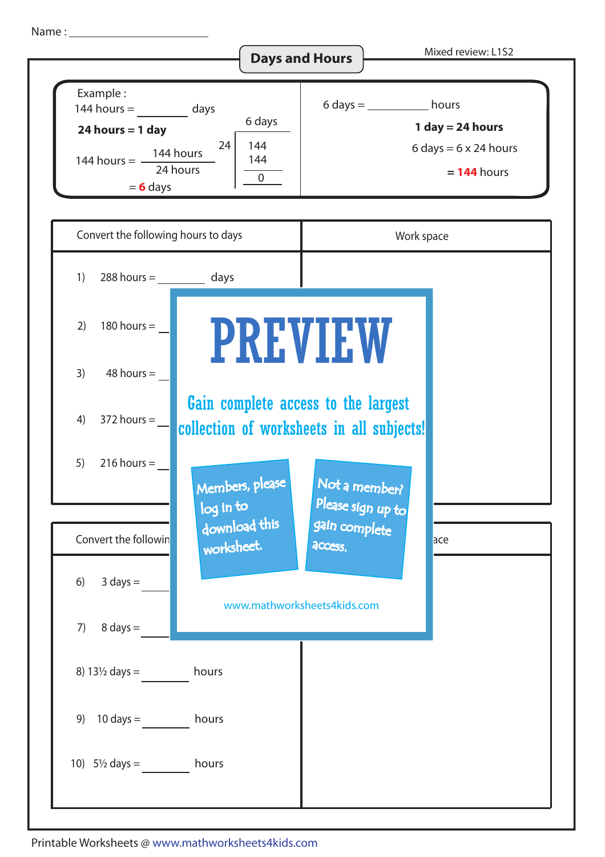Name :